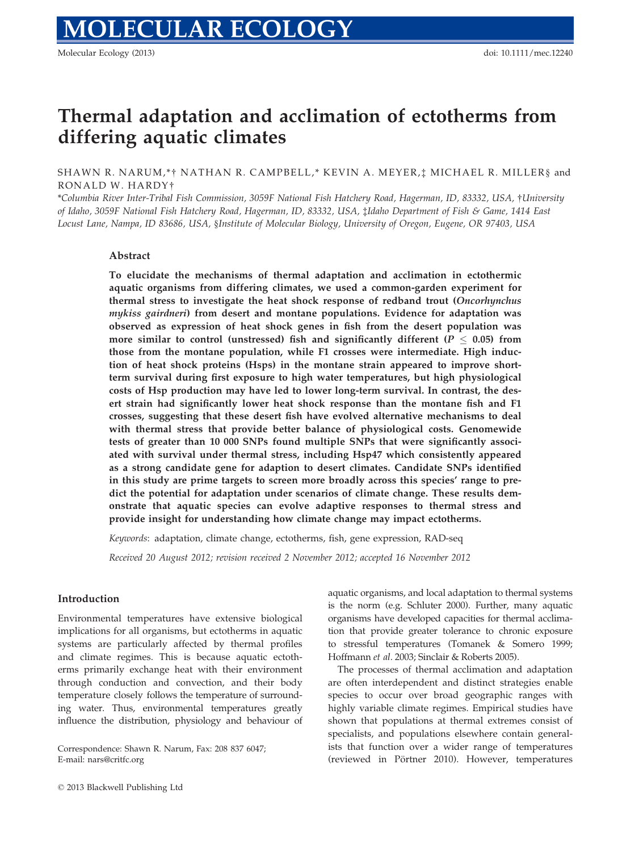# Thermal adaptation and acclimation of ectotherms from differing aquatic climates

SHAWN R. NARUM,\*† NATHAN R. CAMPBELL,\* KEVIN A. MEYER,‡ MICHAEL R. MILLER§ and RONALD W. HARDY†

\*Columbia River Inter-Tribal Fish Commission, 3059F National Fish Hatchery Road, Hagerman, ID, 83332, USA, †University of Idaho, 3059F National Fish Hatchery Road, Hagerman, ID, 83332, USA, ‡Idaho Department of Fish & Game, 1414 East Locust Lane, Nampa, ID 83686, USA, §Institute of Molecular Biology, University of Oregon, Eugene, OR 97403, USA

## Abstract

To elucidate the mechanisms of thermal adaptation and acclimation in ectothermic aquatic organisms from differing climates, we used a common-garden experiment for thermal stress to investigate the heat shock response of redband trout (Oncorhynchus mykiss gairdneri) from desert and montane populations. Evidence for adaptation was observed as expression of heat shock genes in fish from the desert population was more similar to control (unstressed) fish and significantly different ( $P \leq 0.05$ ) from those from the montane population, while F1 crosses were intermediate. High induction of heat shock proteins (Hsps) in the montane strain appeared to improve shortterm survival during first exposure to high water temperatures, but high physiological costs of Hsp production may have led to lower long-term survival. In contrast, the desert strain had significantly lower heat shock response than the montane fish and F1 crosses, suggesting that these desert fish have evolved alternative mechanisms to deal with thermal stress that provide better balance of physiological costs. Genomewide tests of greater than 10 000 SNPs found multiple SNPs that were significantly associated with survival under thermal stress, including Hsp47 which consistently appeared as a strong candidate gene for adaption to desert climates. Candidate SNPs identified in this study are prime targets to screen more broadly across this species' range to predict the potential for adaptation under scenarios of climate change. These results demonstrate that aquatic species can evolve adaptive responses to thermal stress and provide insight for understanding how climate change may impact ectotherms.

Keywords: adaptation, climate change, ectotherms, fish, gene expression, RAD-seq

Received 20 August 2012; revision received 2 November 2012; accepted 16 November 2012

#### Introduction

Environmental temperatures have extensive biological implications for all organisms, but ectotherms in aquatic systems are particularly affected by thermal profiles and climate regimes. This is because aquatic ectotherms primarily exchange heat with their environment through conduction and convection, and their body temperature closely follows the temperature of surrounding water. Thus, environmental temperatures greatly influence the distribution, physiology and behaviour of

Correspondence: Shawn R. Narum, Fax: 208 837 6047; E-mail: nars@critfc.org

aquatic organisms, and local adaptation to thermal systems is the norm (e.g. Schluter 2000). Further, many aquatic organisms have developed capacities for thermal acclimation that provide greater tolerance to chronic exposure to stressful temperatures (Tomanek & Somero 1999; Hoffmann et al. 2003; Sinclair & Roberts 2005).

The processes of thermal acclimation and adaptation are often interdependent and distinct strategies enable species to occur over broad geographic ranges with highly variable climate regimes. Empirical studies have shown that populations at thermal extremes consist of specialists, and populations elsewhere contain generalists that function over a wider range of temperatures (reviewed in Pörtner 2010). However, temperatures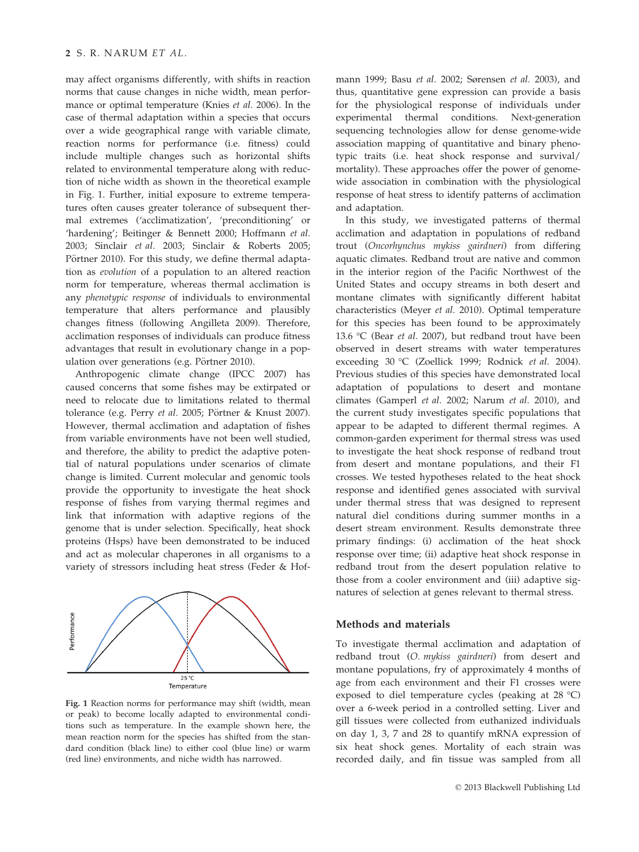## 2 S. R. NARUM ET AL.

may affect organisms differently, with shifts in reaction norms that cause changes in niche width, mean performance or optimal temperature (Knies et al. 2006). In the case of thermal adaptation within a species that occurs over a wide geographical range with variable climate, reaction norms for performance (i.e. fitness) could include multiple changes such as horizontal shifts related to environmental temperature along with reduction of niche width as shown in the theoretical example in Fig. 1. Further, initial exposure to extreme temperatures often causes greater tolerance of subsequent thermal extremes ('acclimatization', 'preconditioning' or 'hardening'; Beitinger & Bennett 2000; Hoffmann et al. 2003; Sinclair et al. 2003; Sinclair & Roberts 2005; Pörtner 2010). For this study, we define thermal adaptation as evolution of a population to an altered reaction norm for temperature, whereas thermal acclimation is any phenotypic response of individuals to environmental temperature that alters performance and plausibly changes fitness (following Angilleta 2009). Therefore, acclimation responses of individuals can produce fitness advantages that result in evolutionary change in a population over generations (e.g. Pörtner 2010).

Anthropogenic climate change (IPCC 2007) has caused concerns that some fishes may be extirpated or need to relocate due to limitations related to thermal tolerance (e.g. Perry et al. 2005; Pörtner & Knust 2007). However, thermal acclimation and adaptation of fishes from variable environments have not been well studied, and therefore, the ability to predict the adaptive potential of natural populations under scenarios of climate change is limited. Current molecular and genomic tools provide the opportunity to investigate the heat shock response of fishes from varying thermal regimes and link that information with adaptive regions of the genome that is under selection. Specifically, heat shock proteins (Hsps) have been demonstrated to be induced and act as molecular chaperones in all organisms to a variety of stressors including heat stress (Feder & Hof-



Fig. 1 Reaction norms for performance may shift (width, mean or peak) to become locally adapted to environmental conditions such as temperature. In the example shown here, the mean reaction norm for the species has shifted from the standard condition (black line) to either cool (blue line) or warm (red line) environments, and niche width has narrowed.

mann 1999; Basu et al. 2002; Sørensen et al. 2003), and thus, quantitative gene expression can provide a basis for the physiological response of individuals under experimental thermal conditions. Next-generation sequencing technologies allow for dense genome-wide association mapping of quantitative and binary phenotypic traits (i.e. heat shock response and survival/ mortality). These approaches offer the power of genomewide association in combination with the physiological response of heat stress to identify patterns of acclimation and adaptation.

In this study, we investigated patterns of thermal acclimation and adaptation in populations of redband trout (Oncorhynchus mykiss gairdneri) from differing aquatic climates. Redband trout are native and common in the interior region of the Pacific Northwest of the United States and occupy streams in both desert and montane climates with significantly different habitat characteristics (Meyer et al. 2010). Optimal temperature for this species has been found to be approximately 13.6 °C (Bear et al. 2007), but redband trout have been observed in desert streams with water temperatures exceeding 30 °C (Zoellick 1999; Rodnick et al. 2004). Previous studies of this species have demonstrated local adaptation of populations to desert and montane climates (Gamperl et al. 2002; Narum et al. 2010), and the current study investigates specific populations that appear to be adapted to different thermal regimes. A common-garden experiment for thermal stress was used to investigate the heat shock response of redband trout from desert and montane populations, and their F1 crosses. We tested hypotheses related to the heat shock response and identified genes associated with survival under thermal stress that was designed to represent natural diel conditions during summer months in a desert stream environment. Results demonstrate three primary findings: (i) acclimation of the heat shock response over time; (ii) adaptive heat shock response in redband trout from the desert population relative to those from a cooler environment and (iii) adaptive signatures of selection at genes relevant to thermal stress.

## Methods and materials

To investigate thermal acclimation and adaptation of redband trout (O. mykiss gairdneri) from desert and montane populations, fry of approximately 4 months of age from each environment and their F1 crosses were exposed to diel temperature cycles (peaking at 28 °C) over a 6-week period in a controlled setting. Liver and gill tissues were collected from euthanized individuals on day 1, 3, 7 and 28 to quantify mRNA expression of six heat shock genes. Mortality of each strain was recorded daily, and fin tissue was sampled from all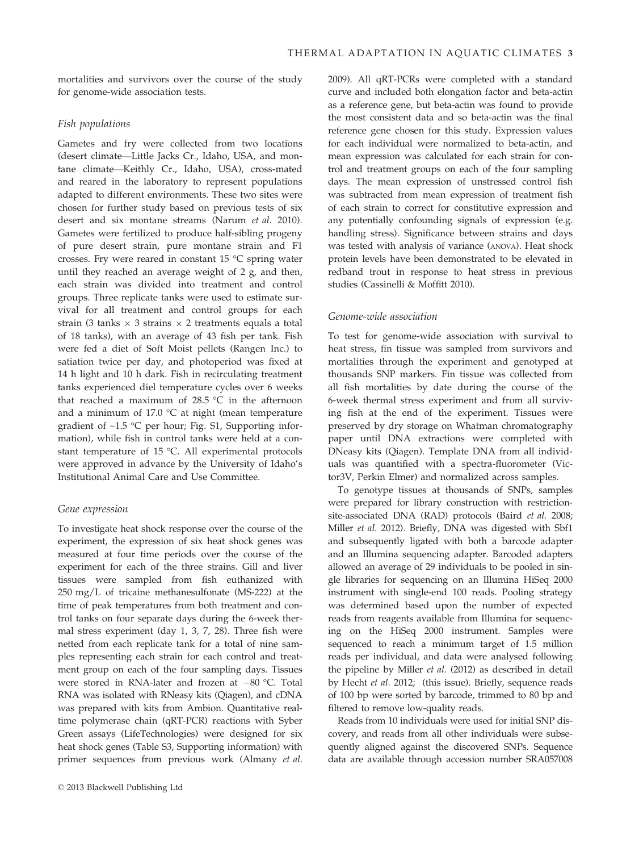mortalities and survivors over the course of the study for genome-wide association tests.

## Fish populations

Gametes and fry were collected from two locations (desert climate—Little Jacks Cr., Idaho, USA, and montane climate—Keithly Cr., Idaho, USA), cross-mated and reared in the laboratory to represent populations adapted to different environments. These two sites were chosen for further study based on previous tests of six desert and six montane streams (Narum et al. 2010). Gametes were fertilized to produce half-sibling progeny of pure desert strain, pure montane strain and F1 crosses. Fry were reared in constant 15 °C spring water until they reached an average weight of 2 g, and then, each strain was divided into treatment and control groups. Three replicate tanks were used to estimate survival for all treatment and control groups for each strain (3 tanks  $\times$  3 strains  $\times$  2 treatments equals a total of 18 tanks), with an average of 43 fish per tank. Fish were fed a diet of Soft Moist pellets (Rangen Inc.) to satiation twice per day, and photoperiod was fixed at 14 h light and 10 h dark. Fish in recirculating treatment tanks experienced diel temperature cycles over 6 weeks that reached a maximum of 28.5 °C in the afternoon and a minimum of 17.0 °C at night (mean temperature gradient of  $\sim$ 1.5 °C per hour; Fig. S1, Supporting information), while fish in control tanks were held at a constant temperature of 15 °C. All experimental protocols were approved in advance by the University of Idaho's Institutional Animal Care and Use Committee.

## Gene expression

To investigate heat shock response over the course of the experiment, the expression of six heat shock genes was measured at four time periods over the course of the experiment for each of the three strains. Gill and liver tissues were sampled from fish euthanized with 250 mg/L of tricaine methanesulfonate (MS-222) at the time of peak temperatures from both treatment and control tanks on four separate days during the 6-week thermal stress experiment (day 1, 3, 7, 28). Three fish were netted from each replicate tank for a total of nine samples representing each strain for each control and treatment group on each of the four sampling days. Tissues were stored in RNA-later and frozen at  $-80$  °C. Total RNA was isolated with RNeasy kits (Qiagen), and cDNA was prepared with kits from Ambion. Quantitative realtime polymerase chain (qRT-PCR) reactions with Syber Green assays (LifeTechnologies) were designed for six heat shock genes (Table S3, Supporting information) with primer sequences from previous work (Almany et al.

2009). All qRT-PCRs were completed with a standard curve and included both elongation factor and beta-actin as a reference gene, but beta-actin was found to provide the most consistent data and so beta-actin was the final reference gene chosen for this study. Expression values for each individual were normalized to beta-actin, and mean expression was calculated for each strain for control and treatment groups on each of the four sampling days. The mean expression of unstressed control fish was subtracted from mean expression of treatment fish of each strain to correct for constitutive expression and any potentially confounding signals of expression (e.g. handling stress). Significance between strains and days was tested with analysis of variance (ANOVA). Heat shock protein levels have been demonstrated to be elevated in redband trout in response to heat stress in previous studies (Cassinelli & Moffitt 2010).

## Genome-wide association

To test for genome-wide association with survival to heat stress, fin tissue was sampled from survivors and mortalities through the experiment and genotyped at thousands SNP markers. Fin tissue was collected from all fish mortalities by date during the course of the 6-week thermal stress experiment and from all surviving fish at the end of the experiment. Tissues were preserved by dry storage on Whatman chromatography paper until DNA extractions were completed with DNeasy kits (Qiagen). Template DNA from all individuals was quantified with a spectra-fluorometer (Victor3V, Perkin Elmer) and normalized across samples.

To genotype tissues at thousands of SNPs, samples were prepared for library construction with restrictionsite-associated DNA (RAD) protocols (Baird et al. 2008; Miller et al. 2012). Briefly, DNA was digested with Sbf1 and subsequently ligated with both a barcode adapter and an Illumina sequencing adapter. Barcoded adapters allowed an average of 29 individuals to be pooled in single libraries for sequencing on an Illumina HiSeq 2000 instrument with single-end 100 reads. Pooling strategy was determined based upon the number of expected reads from reagents available from Illumina for sequencing on the HiSeq 2000 instrument. Samples were sequenced to reach a minimum target of 1.5 million reads per individual, and data were analysed following the pipeline by Miller et al. (2012) as described in detail by Hecht et al. 2012; (this issue). Briefly, sequence reads of 100 bp were sorted by barcode, trimmed to 80 bp and filtered to remove low-quality reads.

Reads from 10 individuals were used for initial SNP discovery, and reads from all other individuals were subsequently aligned against the discovered SNPs. Sequence data are available through accession number SRA057008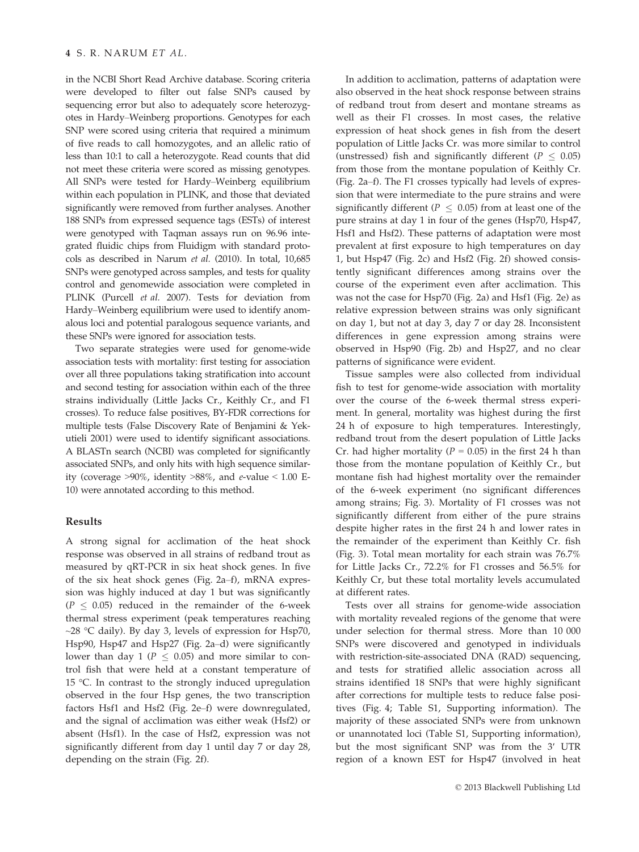## 4 S. R. NARUM ET AL.

in the NCBI Short Read Archive database. Scoring criteria were developed to filter out false SNPs caused by sequencing error but also to adequately score heterozygotes in Hardy–Weinberg proportions. Genotypes for each SNP were scored using criteria that required a minimum of five reads to call homozygotes, and an allelic ratio of less than 10:1 to call a heterozygote. Read counts that did not meet these criteria were scored as missing genotypes. All SNPs were tested for Hardy–Weinberg equilibrium within each population in PLINK, and those that deviated significantly were removed from further analyses. Another 188 SNPs from expressed sequence tags (ESTs) of interest were genotyped with Taqman assays run on 96.96 integrated fluidic chips from Fluidigm with standard protocols as described in Narum et al. (2010). In total, 10,685 SNPs were genotyped across samples, and tests for quality control and genomewide association were completed in PLINK (Purcell et al. 2007). Tests for deviation from Hardy–Weinberg equilibrium were used to identify anomalous loci and potential paralogous sequence variants, and these SNPs were ignored for association tests.

Two separate strategies were used for genome-wide association tests with mortality: first testing for association over all three populations taking stratification into account and second testing for association within each of the three strains individually (Little Jacks Cr., Keithly Cr., and F1 crosses). To reduce false positives, BY-FDR corrections for multiple tests (False Discovery Rate of Benjamini & Yekutieli 2001) were used to identify significant associations. A BLASTn search (NCBI) was completed for significantly associated SNPs, and only hits with high sequence similarity (coverage  $>90\%$ , identity  $>88\%$ , and e-value < 1.00 E-10) were annotated according to this method.

#### Results

A strong signal for acclimation of the heat shock response was observed in all strains of redband trout as measured by qRT-PCR in six heat shock genes. In five of the six heat shock genes (Fig. 2a–f), mRNA expression was highly induced at day 1 but was significantly  $(P \leq 0.05)$  reduced in the remainder of the 6-week thermal stress experiment (peak temperatures reaching  $\sim$ 28 °C daily). By day 3, levels of expression for Hsp70, Hsp90, Hsp47 and Hsp27 (Fig. 2a–d) were significantly lower than day 1 ( $P \leq 0.05$ ) and more similar to control fish that were held at a constant temperature of 15 °C. In contrast to the strongly induced upregulation observed in the four Hsp genes, the two transcription factors Hsf1 and Hsf2 (Fig. 2e–f) were downregulated, and the signal of acclimation was either weak (Hsf2) or absent (Hsf1). In the case of Hsf2, expression was not significantly different from day 1 until day 7 or day 28, depending on the strain (Fig. 2f).

In addition to acclimation, patterns of adaptation were also observed in the heat shock response between strains of redband trout from desert and montane streams as well as their F1 crosses. In most cases, the relative expression of heat shock genes in fish from the desert population of Little Jacks Cr. was more similar to control (unstressed) fish and significantly different ( $P \leq 0.05$ ) from those from the montane population of Keithly Cr. (Fig. 2a–f). The F1 crosses typically had levels of expression that were intermediate to the pure strains and were significantly different ( $P \leq 0.05$ ) from at least one of the pure strains at day 1 in four of the genes (Hsp70, Hsp47, Hsf1 and Hsf2). These patterns of adaptation were most prevalent at first exposure to high temperatures on day 1, but Hsp47 (Fig. 2c) and Hsf2 (Fig. 2f) showed consistently significant differences among strains over the course of the experiment even after acclimation. This was not the case for Hsp70 (Fig. 2a) and Hsf1 (Fig. 2e) as relative expression between strains was only significant on day 1, but not at day 3, day 7 or day 28. Inconsistent differences in gene expression among strains were observed in Hsp90 (Fig. 2b) and Hsp27, and no clear patterns of significance were evident.

Tissue samples were also collected from individual fish to test for genome-wide association with mortality over the course of the 6-week thermal stress experiment. In general, mortality was highest during the first 24 h of exposure to high temperatures. Interestingly, redband trout from the desert population of Little Jacks Cr. had higher mortality ( $P = 0.05$ ) in the first 24 h than those from the montane population of Keithly Cr., but montane fish had highest mortality over the remainder of the 6-week experiment (no significant differences among strains; Fig. 3). Mortality of F1 crosses was not significantly different from either of the pure strains despite higher rates in the first 24 h and lower rates in the remainder of the experiment than Keithly Cr. fish (Fig. 3). Total mean mortality for each strain was 76.7% for Little Jacks Cr., 72.2% for F1 crosses and 56.5% for Keithly Cr, but these total mortality levels accumulated at different rates.

Tests over all strains for genome-wide association with mortality revealed regions of the genome that were under selection for thermal stress. More than 10 000 SNPs were discovered and genotyped in individuals with restriction-site-associated DNA (RAD) sequencing, and tests for stratified allelic association across all strains identified 18 SNPs that were highly significant after corrections for multiple tests to reduce false positives (Fig. 4; Table S1, Supporting information). The majority of these associated SNPs were from unknown or unannotated loci (Table S1, Supporting information), but the most significant SNP was from the 3′ UTR region of a known EST for Hsp47 (involved in heat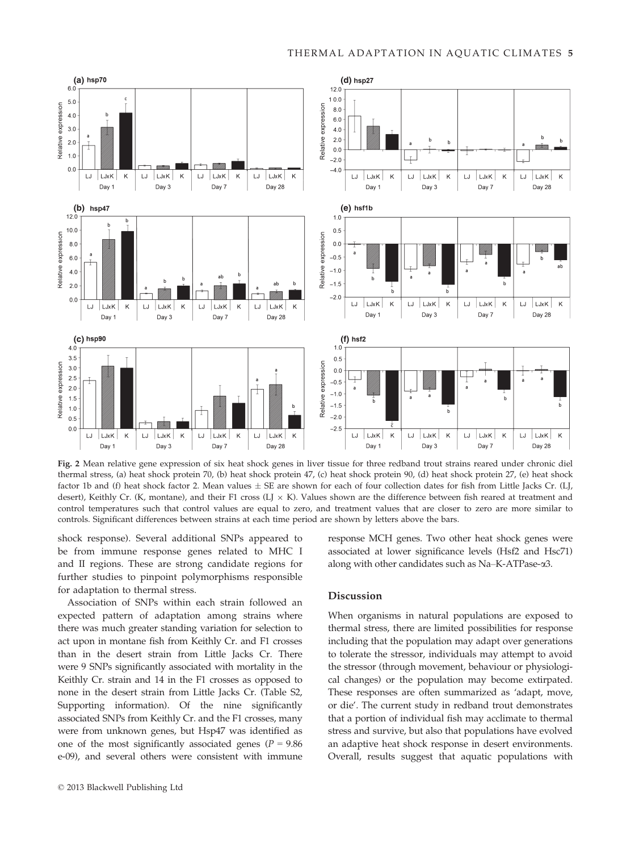

Fig. 2 Mean relative gene expression of six heat shock genes in liver tissue for three redband trout strains reared under chronic diel thermal stress, (a) heat shock protein 70, (b) heat shock protein 47, (c) heat shock protein 90, (d) heat shock protein 27, (e) heat shock factor 1b and (f) heat shock factor 2. Mean values  $\pm$  SE are shown for each of four collection dates for fish from Little Jacks Cr. (LJ, desert), Keithly Cr. (K, montane), and their F1 cross (LJ  $\times$  K). Values shown are the difference between fish reared at treatment and control temperatures such that control values are equal to zero, and treatment values that are closer to zero are more similar to controls. Significant differences between strains at each time period are shown by letters above the bars.

shock response). Several additional SNPs appeared to be from immune response genes related to MHC I and II regions. These are strong candidate regions for further studies to pinpoint polymorphisms responsible for adaptation to thermal stress.

Association of SNPs within each strain followed an expected pattern of adaptation among strains where there was much greater standing variation for selection to act upon in montane fish from Keithly Cr. and F1 crosses than in the desert strain from Little Jacks Cr. There were 9 SNPs significantly associated with mortality in the Keithly Cr. strain and 14 in the F1 crosses as opposed to none in the desert strain from Little Jacks Cr. (Table S2, Supporting information). Of the nine significantly associated SNPs from Keithly Cr. and the F1 crosses, many were from unknown genes, but Hsp47 was identified as one of the most significantly associated genes ( $P = 9.86$ ) e-09), and several others were consistent with immune

© 2013 Blackwell Publishing Ltd

response MCH genes. Two other heat shock genes were associated at lower significance levels (Hsf2 and Hsc71) along with other candidates such as Na–K-ATPase-a3.

## Discussion

When organisms in natural populations are exposed to thermal stress, there are limited possibilities for response including that the population may adapt over generations to tolerate the stressor, individuals may attempt to avoid the stressor (through movement, behaviour or physiological changes) or the population may become extirpated. These responses are often summarized as 'adapt, move, or die'. The current study in redband trout demonstrates that a portion of individual fish may acclimate to thermal stress and survive, but also that populations have evolved an adaptive heat shock response in desert environments. Overall, results suggest that aquatic populations with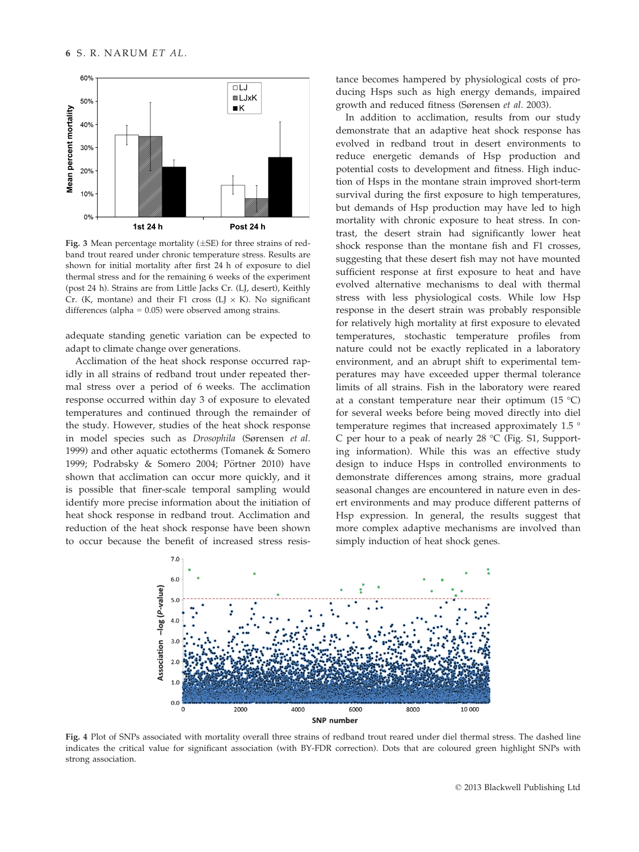

Fig. 3 Mean percentage mortality  $(\pm SE)$  for three strains of redband trout reared under chronic temperature stress. Results are shown for initial mortality after first 24 h of exposure to diel thermal stress and for the remaining 6 weeks of the experiment (post 24 h). Strains are from Little Jacks Cr. (LJ, desert), Keithly Cr. (K, montane) and their F1 cross (LJ  $\times$  K). No significant differences (alpha  $= 0.05$ ) were observed among strains.

adequate standing genetic variation can be expected to adapt to climate change over generations.

Acclimation of the heat shock response occurred rapidly in all strains of redband trout under repeated thermal stress over a period of 6 weeks. The acclimation response occurred within day 3 of exposure to elevated temperatures and continued through the remainder of the study. However, studies of the heat shock response in model species such as Drosophila (Sørensen et al. 1999) and other aquatic ectotherms (Tomanek & Somero 1999; Podrabsky & Somero 2004; Pörtner 2010) have shown that acclimation can occur more quickly, and it is possible that finer-scale temporal sampling would identify more precise information about the initiation of heat shock response in redband trout. Acclimation and reduction of the heat shock response have been shown to occur because the benefit of increased stress resis-

tance becomes hampered by physiological costs of producing Hsps such as high energy demands, impaired growth and reduced fitness (Sørensen et al. 2003).

In addition to acclimation, results from our study demonstrate that an adaptive heat shock response has evolved in redband trout in desert environments to reduce energetic demands of Hsp production and potential costs to development and fitness. High induction of Hsps in the montane strain improved short-term survival during the first exposure to high temperatures, but demands of Hsp production may have led to high mortality with chronic exposure to heat stress. In contrast, the desert strain had significantly lower heat shock response than the montane fish and F1 crosses, suggesting that these desert fish may not have mounted sufficient response at first exposure to heat and have evolved alternative mechanisms to deal with thermal stress with less physiological costs. While low Hsp response in the desert strain was probably responsible for relatively high mortality at first exposure to elevated temperatures, stochastic temperature profiles from nature could not be exactly replicated in a laboratory environment, and an abrupt shift to experimental temperatures may have exceeded upper thermal tolerance limits of all strains. Fish in the laboratory were reared at a constant temperature near their optimum  $(15 \degree C)$ for several weeks before being moved directly into diel temperature regimes that increased approximately 1.5 ° C per hour to a peak of nearly 28 °C (Fig. S1, Supporting information). While this was an effective study design to induce Hsps in controlled environments to demonstrate differences among strains, more gradual seasonal changes are encountered in nature even in desert environments and may produce different patterns of Hsp expression. In general, the results suggest that more complex adaptive mechanisms are involved than simply induction of heat shock genes.



Fig. 4 Plot of SNPs associated with mortality overall three strains of redband trout reared under diel thermal stress. The dashed line indicates the critical value for significant association (with BY-FDR correction). Dots that are coloured green highlight SNPs with strong association.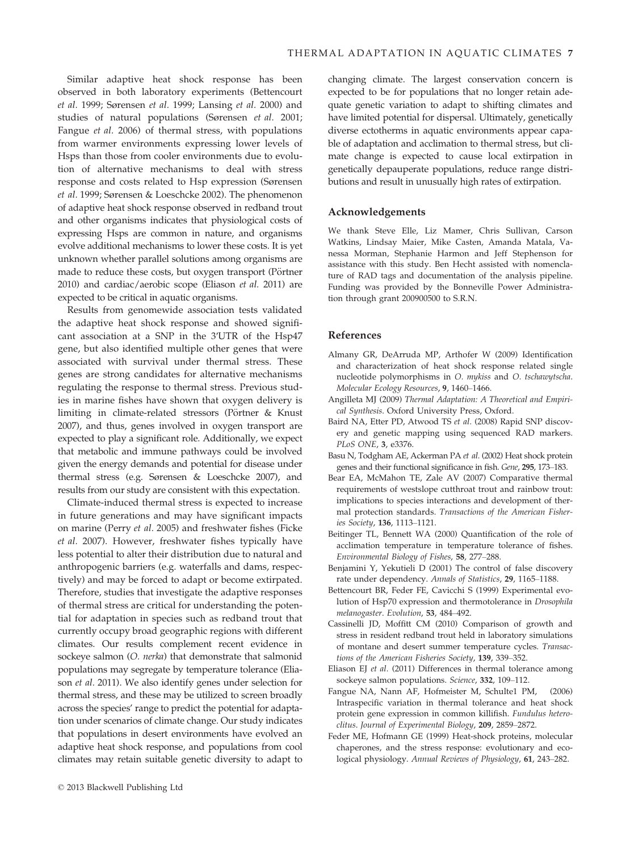Similar adaptive heat shock response has been observed in both laboratory experiments (Bettencourt et al. 1999; Sørensen et al. 1999; Lansing et al. 2000) and studies of natural populations (Sørensen et al. 2001; Fangue et al. 2006) of thermal stress, with populations from warmer environments expressing lower levels of Hsps than those from cooler environments due to evolution of alternative mechanisms to deal with stress response and costs related to Hsp expression (Sørensen et al. 1999; Sørensen & Loeschcke 2002). The phenomenon of adaptive heat shock response observed in redband trout and other organisms indicates that physiological costs of expressing Hsps are common in nature, and organisms evolve additional mechanisms to lower these costs. It is yet unknown whether parallel solutions among organisms are made to reduce these costs, but oxygen transport (Pörtner 2010) and cardiac/aerobic scope (Eliason et al. 2011) are expected to be critical in aquatic organisms.

Results from genomewide association tests validated the adaptive heat shock response and showed significant association at a SNP in the 3′UTR of the Hsp47 gene, but also identified multiple other genes that were associated with survival under thermal stress. These genes are strong candidates for alternative mechanisms regulating the response to thermal stress. Previous studies in marine fishes have shown that oxygen delivery is limiting in climate-related stressors (Pörtner & Knust 2007), and thus, genes involved in oxygen transport are expected to play a significant role. Additionally, we expect that metabolic and immune pathways could be involved given the energy demands and potential for disease under thermal stress (e.g. Sørensen & Loeschcke 2007), and results from our study are consistent with this expectation.

Climate-induced thermal stress is expected to increase in future generations and may have significant impacts on marine (Perry et al. 2005) and freshwater fishes (Ficke et al. 2007). However, freshwater fishes typically have less potential to alter their distribution due to natural and anthropogenic barriers (e.g. waterfalls and dams, respectively) and may be forced to adapt or become extirpated. Therefore, studies that investigate the adaptive responses of thermal stress are critical for understanding the potential for adaptation in species such as redband trout that currently occupy broad geographic regions with different climates. Our results complement recent evidence in sockeye salmon (O. nerka) that demonstrate that salmonid populations may segregate by temperature tolerance (Eliason et al. 2011). We also identify genes under selection for thermal stress, and these may be utilized to screen broadly across the species' range to predict the potential for adaptation under scenarios of climate change. Our study indicates that populations in desert environments have evolved an adaptive heat shock response, and populations from cool climates may retain suitable genetic diversity to adapt to

changing climate. The largest conservation concern is expected to be for populations that no longer retain adequate genetic variation to adapt to shifting climates and have limited potential for dispersal. Ultimately, genetically diverse ectotherms in aquatic environments appear capable of adaptation and acclimation to thermal stress, but climate change is expected to cause local extirpation in genetically depauperate populations, reduce range distributions and result in unusually high rates of extirpation.

## Acknowledgements

We thank Steve Elle, Liz Mamer, Chris Sullivan, Carson Watkins, Lindsay Maier, Mike Casten, Amanda Matala, Vanessa Morman, Stephanie Harmon and Jeff Stephenson for assistance with this study. Ben Hecht assisted with nomenclature of RAD tags and documentation of the analysis pipeline. Funding was provided by the Bonneville Power Administration through grant 200900500 to S.R.N.

#### References

- Almany GR, DeArruda MP, Arthofer W (2009) Identification and characterization of heat shock response related single nucleotide polymorphisms in O. mykiss and O. tschawytscha. Molecular Ecology Resources, 9, 1460–1466.
- Angilleta MJ (2009) Thermal Adaptation: A Theoretical and Empirical Synthesis. Oxford University Press, Oxford.
- Baird NA, Etter PD, Atwood TS et al. (2008) Rapid SNP discovery and genetic mapping using sequenced RAD markers. PLoS ONE, 3, e3376.
- Basu N, Todgham AE, Ackerman PA et al. (2002) Heat shock protein genes and their functional significance in fish. Gene, 295, 173–183.
- Bear EA, McMahon TE, Zale AV (2007) Comparative thermal requirements of westslope cutthroat trout and rainbow trout: implications to species interactions and development of thermal protection standards. Transactions of the American Fisheries Society, 136, 1113–1121.
- Beitinger TL, Bennett WA (2000) Quantification of the role of acclimation temperature in temperature tolerance of fishes. Environmental Biology of Fishes, 58, 277–288.
- Benjamini Y, Yekutieli D (2001) The control of false discovery rate under dependency. Annals of Statistics, 29, 1165–1188.
- Bettencourt BR, Feder FE, Cavicchi S (1999) Experimental evolution of Hsp70 expression and thermotolerance in Drosophila melanogaster. Evolution, 53, 484–492.
- Cassinelli JD, Moffitt CM (2010) Comparison of growth and stress in resident redband trout held in laboratory simulations of montane and desert summer temperature cycles. Transactions of the American Fisheries Society, 139, 339–352.
- Eliason EJ et al. (2011) Differences in thermal tolerance among sockeye salmon populations. Science, 332, 109–112.
- Fangue NA, Nann AF, Hofmeister M, Schulte1 PM, (2006) Intraspecific variation in thermal tolerance and heat shock protein gene expression in common killifish. Fundulus heteroclitus. Journal of Experimental Biology, 209, 2859–2872.
- Feder ME, Hofmann GE (1999) Heat-shock proteins, molecular chaperones, and the stress response: evolutionary and ecological physiology. Annual Reviews of Physiology, 61, 243–282.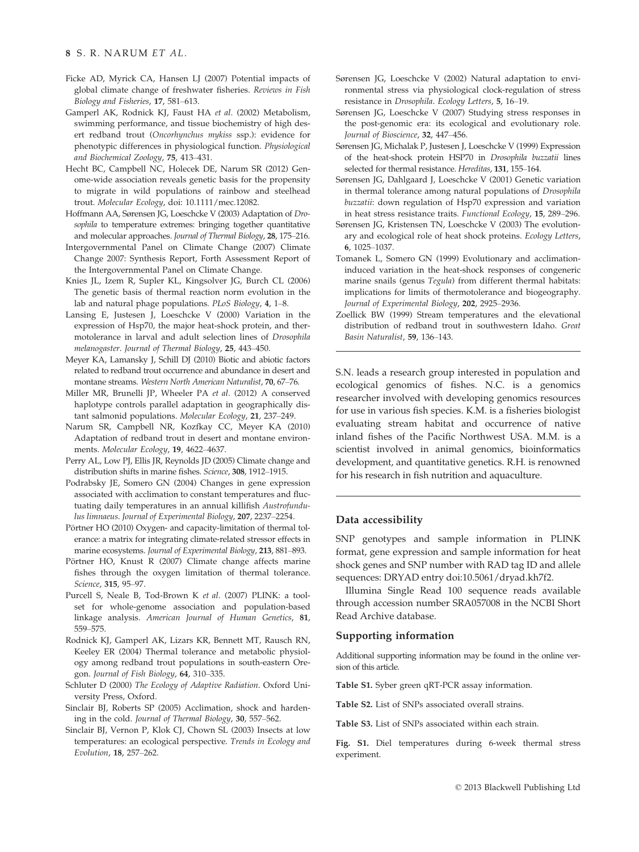## 8 S. R. NARUM ET AL.

- Ficke AD, Myrick CA, Hansen LJ (2007) Potential impacts of global climate change of freshwater fisheries. Reviews in Fish Biology and Fisheries, 17, 581–613.
- Gamperl AK, Rodnick KJ, Faust HA et al. (2002) Metabolism, swimming performance, and tissue biochemistry of high desert redband trout (Oncorhynchus mykiss ssp.): evidence for phenotypic differences in physiological function. Physiological and Biochemical Zoology, 75, 413–431.
- Hecht BC, Campbell NC, Holecek DE, Narum SR (2012) Genome-wide association reveals genetic basis for the propensity to migrate in wild populations of rainbow and steelhead trout. Molecular Ecology, doi: 10.1111/mec.12082.
- Hoffmann AA, Sørensen JG, Loeschcke V (2003) Adaptation of Drosophila to temperature extremes: bringing together quantitative and molecular approaches. Journal of Thermal Biology, 28, 175–216.
- Intergovernmental Panel on Climate Change (2007) Climate Change 2007: Synthesis Report, Forth Assessment Report of the Intergovernmental Panel on Climate Change.
- Knies JL, Izem R, Supler KL, Kingsolver JG, Burch CL (2006) The genetic basis of thermal reaction norm evolution in the lab and natural phage populations. PLoS Biology, 4, 1–8.
- Lansing E, Justesen J, Loeschcke V (2000) Variation in the expression of Hsp70, the major heat-shock protein, and thermotolerance in larval and adult selection lines of Drosophila melanogaster. Journal of Thermal Biology, 25, 443–450.
- Meyer KA, Lamansky J, Schill DJ (2010) Biotic and abiotic factors related to redband trout occurrence and abundance in desert and montane streams. Western North American Naturalist, 70, 67–76.
- Miller MR, Brunelli JP, Wheeler PA et al. (2012) A conserved haplotype controls parallel adaptation in geographically distant salmonid populations. Molecular Ecology, 21, 237–249.
- Narum SR, Campbell NR, Kozfkay CC, Meyer KA (2010) Adaptation of redband trout in desert and montane environments. Molecular Ecology, 19, 4622–4637.
- Perry AL, Low PJ, Ellis JR, Reynolds JD (2005) Climate change and distribution shifts in marine fishes. Science, 308, 1912–1915.
- Podrabsky JE, Somero GN (2004) Changes in gene expression associated with acclimation to constant temperatures and fluctuating daily temperatures in an annual killifish Austrofundulus limnaeus. Journal of Experimental Biology, 207, 2237–2254.
- Pörtner HO (2010) Oxygen- and capacity-limitation of thermal tolerance: a matrix for integrating climate-related stressor effects in marine ecosystems. Journal of Experimental Biology, 213, 881–893.
- Pörtner HO, Knust R (2007) Climate change affects marine fishes through the oxygen limitation of thermal tolerance. Science, 315, 95–97.
- Purcell S, Neale B, Tod-Brown K et al. (2007) PLINK: a toolset for whole-genome association and population-based linkage analysis. American Journal of Human Genetics, 81, 559–575.
- Rodnick KJ, Gamperl AK, Lizars KR, Bennett MT, Rausch RN, Keeley ER (2004) Thermal tolerance and metabolic physiology among redband trout populations in south-eastern Oregon. Journal of Fish Biology, 64, 310–335.
- Schluter D (2000) The Ecology of Adaptive Radiation. Oxford University Press, Oxford.
- Sinclair BJ, Roberts SP (2005) Acclimation, shock and hardening in the cold. Journal of Thermal Biology, 30, 557–562.
- Sinclair BJ, Vernon P, Klok CJ, Chown SL (2003) Insects at low temperatures: an ecological perspective. Trends in Ecology and Evolution, 18, 257–262.
- Sørensen JG, Loeschcke V (2002) Natural adaptation to environmental stress via physiological clock-regulation of stress resistance in Drosophila. Ecology Letters, 5, 16–19.
- Sørensen JG, Loeschcke V (2007) Studying stress responses in the post-genomic era: its ecological and evolutionary role. Journal of Bioscience, 32, 447–456.
- Sørensen JG, Michalak P, Justesen J, Loeschcke V (1999) Expression of the heat-shock protein HSP70 in Drosophila buzzatii lines selected for thermal resistance. Hereditas, 131, 155–164.
- Sørensen JG, Dahlgaard J, Loeschcke V (2001) Genetic variation in thermal tolerance among natural populations of Drosophila buzzatii: down regulation of Hsp70 expression and variation in heat stress resistance traits. Functional Ecology, 15, 289–296.
- Sørensen JG, Kristensen TN, Loeschcke V (2003) The evolutionary and ecological role of heat shock proteins. Ecology Letters, 6, 1025–1037.
- Tomanek L, Somero GN (1999) Evolutionary and acclimationinduced variation in the heat-shock responses of congeneric marine snails (genus Tegula) from different thermal habitats: implications for limits of thermotolerance and biogeography. Journal of Experimental Biology, 202, 2925-2936.
- Zoellick BW (1999) Stream temperatures and the elevational distribution of redband trout in southwestern Idaho. Great Basin Naturalist, 59, 136–143.

S.N. leads a research group interested in population and ecological genomics of fishes. N.C. is a genomics researcher involved with developing genomics resources for use in various fish species. K.M. is a fisheries biologist evaluating stream habitat and occurrence of native inland fishes of the Pacific Northwest USA. M.M. is a scientist involved in animal genomics, bioinformatics development, and quantitative genetics. R.H. is renowned for his research in fish nutrition and aquaculture.

## Data accessibility

SNP genotypes and sample information in PLINK format, gene expression and sample information for heat shock genes and SNP number with RAD tag ID and allele sequences: DRYAD entry doi:10.5061/dryad.kh7f2.

Illumina Single Read 100 sequence reads available through accession number SRA057008 in the NCBI Short Read Archive database.

#### Supporting information

Additional supporting information may be found in the online version of this article.

Table S1. Syber green qRT-PCR assay information.

Table S2. List of SNPs associated overall strains.

Table S3. List of SNPs associated within each strain.

Fig. S1. Diel temperatures during 6-week thermal stress experiment.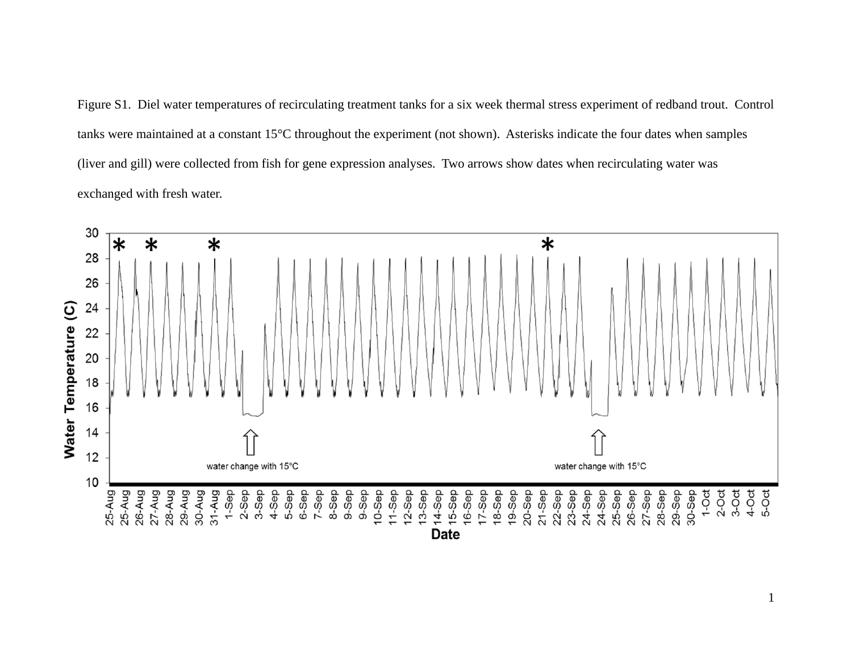Figure S1. Diel water temperatures of recirculating treatment tanks for a six week thermal stress experiment of redband trout. Control tanks were maintained at a constant 15°C throughout the experiment (not shown). Asterisks indicate the four dates when samples (liver and gill) were collected from fish for gene expression analyses. Two arrows show dates when recirculating water was exchanged with fresh water.



1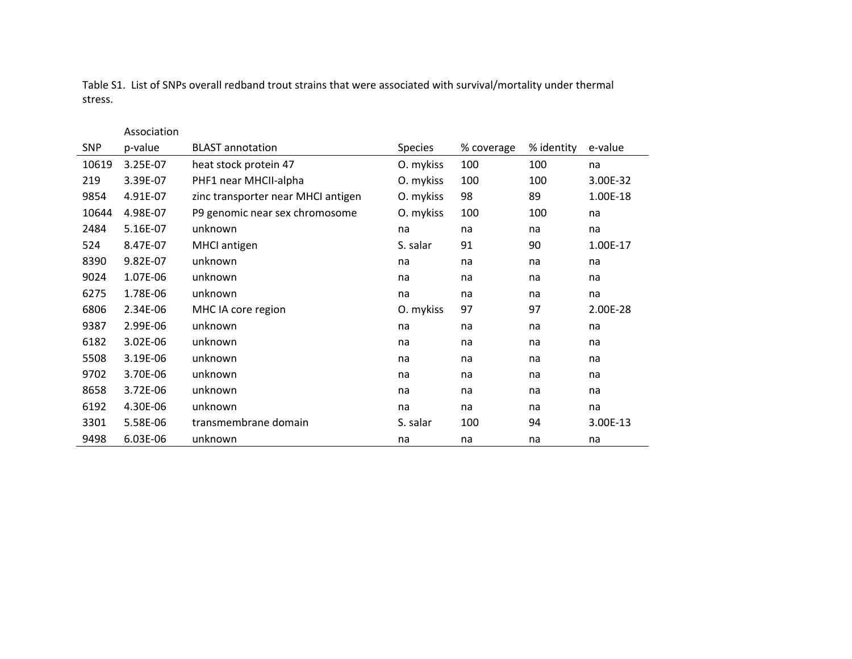Table S1. List of SNPs overall redband trout strains that were associated with survival/mortality under thermal stress.

|            | Association |                                    |                |            |            |          |
|------------|-------------|------------------------------------|----------------|------------|------------|----------|
| <b>SNP</b> | p-value     | <b>BLAST</b> annotation            | <b>Species</b> | % coverage | % identity | e-value  |
| 10619      | 3.25E-07    | heat stock protein 47              | O. mykiss      | 100        | 100        | na       |
| 219        | 3.39E-07    | PHF1 near MHCII-alpha              | O. mykiss      | 100        | 100        | 3.00E-32 |
| 9854       | 4.91E-07    | zinc transporter near MHCI antigen | O. mykiss      | 98         | 89         | 1.00E-18 |
| 10644      | 4.98E-07    | P9 genomic near sex chromosome     | O. mykiss      | 100        | 100        | na       |
| 2484       | 5.16E-07    | unknown                            | na             | na         | na         | na       |
| 524        | 8.47E-07    | <b>MHCI</b> antigen                | S. salar       | 91         | 90         | 1.00E-17 |
| 8390       | 9.82E-07    | unknown                            | na             | na         | na         | na       |
| 9024       | 1.07E-06    | unknown                            | na             | na         | na         | na       |
| 6275       | 1.78E-06    | unknown                            | na             | na         | na         | na       |
| 6806       | 2.34E-06    | MHC IA core region                 | O. mykiss      | 97         | 97         | 2.00E-28 |
| 9387       | 2.99E-06    | unknown                            | na             | na         | na         | na       |
| 6182       | 3.02E-06    | unknown                            | na             | na         | na         | na       |
| 5508       | 3.19E-06    | unknown                            | na             | na         | na         | na       |
| 9702       | 3.70E-06    | unknown                            | na             | na         | na         | na       |
| 8658       | 3.72E-06    | unknown                            | na             | na         | na         | na       |
| 6192       | 4.30E-06    | unknown                            | na             | na         | na         | na       |
| 3301       | 5.58E-06    | transmembrane domain               | S. salar       | 100        | 94         | 3.00E-13 |
| 9498       | 6.03E-06    | unknown                            | na             | na         | na         | na       |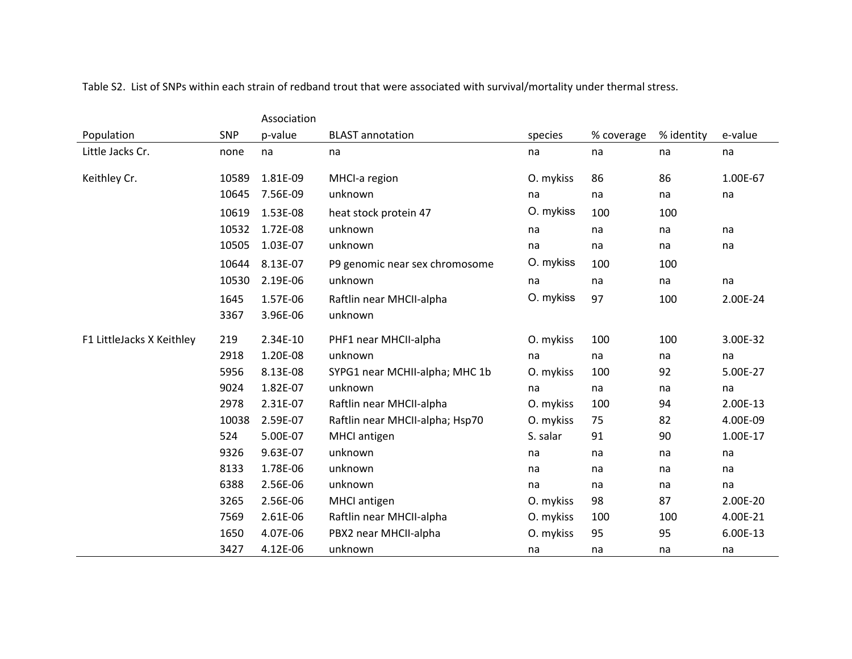|                           |       | Association |                                 |           |            |            |          |
|---------------------------|-------|-------------|---------------------------------|-----------|------------|------------|----------|
| Population                | SNP   | p-value     | <b>BLAST</b> annotation         | species   | % coverage | % identity | e-value  |
| Little Jacks Cr.          | none  | na          | na                              | na        | na         | na         | na       |
| Keithley Cr.              | 10589 | 1.81E-09    | MHCI-a region                   | O. mykiss | 86         | 86         | 1.00E-67 |
|                           | 10645 | 7.56E-09    | unknown                         | na        | na         | na         | na       |
|                           | 10619 | 1.53E-08    | heat stock protein 47           | O. mykiss | 100        | 100        |          |
|                           | 10532 | 1.72E-08    | unknown                         | na        | na         | na         | na       |
|                           | 10505 | 1.03E-07    | unknown                         | na        | na         | na         | na       |
|                           | 10644 | 8.13E-07    | P9 genomic near sex chromosome  | O. mykiss | 100        | 100        |          |
|                           | 10530 | 2.19E-06    | unknown                         | na        | na         | na         | na       |
|                           | 1645  | 1.57E-06    | Raftlin near MHCII-alpha        | O. mykiss | 97         | 100        | 2.00E-24 |
|                           | 3367  | 3.96E-06    | unknown                         |           |            |            |          |
| F1 LittleJacks X Keithley | 219   | 2.34E-10    | PHF1 near MHCII-alpha           | O. mykiss | 100        | 100        | 3.00E-32 |
|                           | 2918  | 1.20E-08    | unknown                         | na        | na         | na         | na       |
|                           | 5956  | 8.13E-08    | SYPG1 near MCHII-alpha; MHC 1b  | O. mykiss | 100        | 92         | 5.00E-27 |
|                           | 9024  | 1.82E-07    | unknown                         | na        | na         | na         | na       |
|                           | 2978  | 2.31E-07    | Raftlin near MHCII-alpha        | O. mykiss | 100        | 94         | 2.00E-13 |
|                           | 10038 | 2.59E-07    | Raftlin near MHCII-alpha; Hsp70 | O. mykiss | 75         | 82         | 4.00E-09 |
|                           | 524   | 5.00E-07    | MHCI antigen                    | S. salar  | 91         | 90         | 1.00E-17 |
|                           | 9326  | 9.63E-07    | unknown                         | na        | na         | na         | na       |
|                           | 8133  | 1.78E-06    | unknown                         | na        | na         | na         | na       |
|                           | 6388  | 2.56E-06    | unknown                         | na        | na         | na         | na       |
|                           | 3265  | 2.56E-06    | MHCI antigen                    | O. mykiss | 98         | 87         | 2.00E-20 |
|                           | 7569  | 2.61E-06    | Raftlin near MHCII-alpha        | O. mykiss | 100        | 100        | 4.00E-21 |
|                           | 1650  | 4.07E-06    | PBX2 near MHCII-alpha           | O. mykiss | 95         | 95         | 6.00E-13 |
|                           | 3427  | 4.12E-06    | unknown                         | na        | na         | na         | na       |

Table S2. List of SNPs within each strain of redband trout that were associated with survival/mortality under thermal stress.